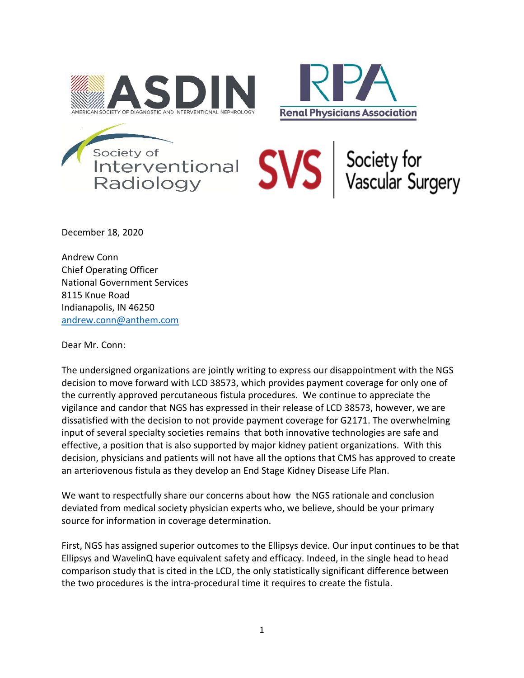





December 18, 2020

Andrew Conn Chief Operating Officer National Government Services 8115 Knue Road Indianapolis, IN 46250 [andrew.conn@anthem.com](mailto:andrew.conn@anthem.com)

Dear Mr. Conn:

The undersigned organizations are jointly writing to express our disappointment with the NGS decision to move forward with LCD 38573, which provides payment coverage for only one of the currently approved percutaneous fistula procedures. We continue to appreciate the vigilance and candor that NGS has expressed in their release of LCD 38573, however, we are dissatisfied with the decision to not provide payment coverage for G2171. The overwhelming input of several specialty societies remains that both innovative technologies are safe and effective, a position that is also supported by major kidney patient organizations. With this decision, physicians and patients will not have all the options that CMS has approved to create an arteriovenous fistula as they develop an End Stage Kidney Disease Life Plan.

We want to respectfully share our concerns about how the NGS rationale and conclusion deviated from medical society physician experts who, we believe, should be your primary source for information in coverage determination.

First, NGS has assigned superior outcomes to the Ellipsys device. Our input continues to be that Ellipsys and WavelinQ have equivalent safety and efficacy. Indeed, in the single head to head comparison study that is cited in the LCD, the only statistically significant difference between the two procedures is the intra-procedural time it requires to create the fistula.